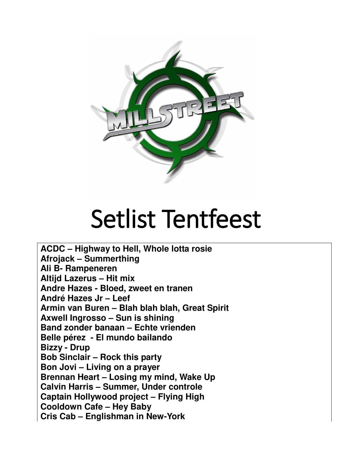

## Setlist Tentfeest

**ACDC – Highway to Hell, Whole lotta rosie Afrojack – Summerthing Ali B- Rampeneren Altijd Lazerus – Hit mix Andre Hazes - Bloed, zweet en tranen André Hazes Jr – Leef Armin van Buren – Blah blah blah, Great Spirit Axwell Ingrosso – Sun is shining Band zonder banaan – Echte vrienden Belle pérez - El mundo bailando Bizzy - Drup Bob Sinclair – Rock this party Bon Jovi – Living on a prayer Brennan Heart – Losing my mind, Wake Up Calvin Harris – Summer, Under controle Captain Hollywood project – Flying High Cooldown Cafe – Hey Baby Cris Cab – Englishman in New-York**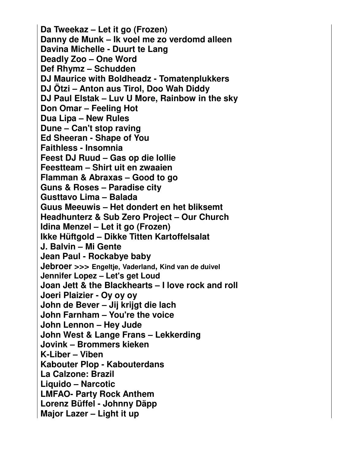**Da Tweekaz – Let it go (Frozen) Danny de Munk – Ik voel me zo verdomd alleen Davina Michelle - Duurt te Lang Deadly Zoo – One Word Def Rhymz – Schudden DJ Maurice with Boldheadz - Tomatenplukkers DJ Ötzi – Anton aus Tirol, Doo Wah Diddy DJ Paul Elstak – Luv U More, Rainbow in the sky Don Omar – Feeling Hot Dua Lipa – New Rules Dune – Can't stop raving Ed Sheeran - Shape of You Faithless - Insomnia Feest DJ Ruud – Gas op die lollie Feestteam – Shirt uit en zwaaien Flamman & Abraxas – Good to go Guns & Roses – Paradise city Gusttavo Lima – Balada Guus Meeuwis – Het dondert en het bliksemt Headhunterz & Sub Zero Project – Our Church Idina Menzel – Let it go (Frozen) Ikke Hüftgold – Dikke Titten Kartoffelsalat J. Balvin – Mi Gente Jean Paul - Rockabye baby Jebroer >>> Engeltje, Vaderland, Kind van de duivel Jennifer Lopez – Let's get Loud Joan Jett & the Blackhearts – I love rock and roll Joeri Plaizier - Oy oy oy John de Bever – Jij krijgt die lach John Farnham – You're the voice John Lennon – Hey Jude John West & Lange Frans – Lekkerding Jovink – Brommers kieken K-Liber – Viben Kabouter Plop - Kabouterdans La Calzone: Brazil Liquido – Narcotic LMFAO- Party Rock Anthem Lorenz Büffel - Johnny Däpp Major Lazer – Light it up**